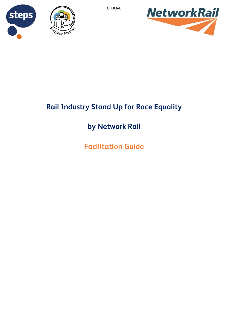





# **Rail Industry Stand Up for Race Equality**

# **by Network Rail**

**Facilitation Guide**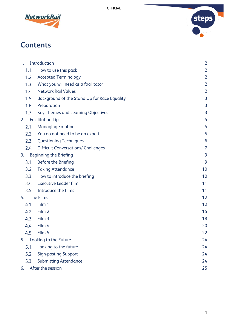



# **Contents**

| 1 <sub>1</sub><br>Introduction      |                                              | $\overline{2}$ |
|-------------------------------------|----------------------------------------------|----------------|
| 1.1.                                | How to use this pack                         | $\overline{2}$ |
| 1.2.                                | <b>Accepted Terminology</b>                  | $\overline{2}$ |
| 1.3.                                | What you will need as a facilitator          | $\overline{2}$ |
| 1.4.                                | <b>Network Rail Values</b>                   | $\overline{2}$ |
| 1.5.                                | Background of the Stand Up for Race Equality | 3              |
| 1.6.                                | Preparation                                  | 3              |
| 1.7.                                | Key Themes and Learning Objectives           | 3              |
| <b>Facilitation Tips</b><br>2.      |                                              | 5              |
| 2.1.                                | <b>Managing Emotions</b>                     | 5              |
| 2.2.                                | You do not need to be an expert              | 5              |
| 2.3.                                | <b>Questioning Techniques</b>                | 6              |
| 2.4.                                | <b>Difficult Conversations/ Challenges</b>   | $\overline{7}$ |
| 3.<br><b>Beginning the Briefing</b> |                                              | 9              |
| 3.1.                                | <b>Before the Briefing</b>                   | 9              |
| 3.2.                                | <b>Taking Attendance</b>                     | 10             |
| 3.3.                                | How to introduce the briefing                | 10             |
| 3.4.                                | <b>Executive Leader film</b>                 | 11             |
| 3.5.                                | Introduce the films                          | 11             |
| <b>The Films</b><br>4.              |                                              | 12             |
| 4.1.                                | Film 1                                       | 12             |
| 4.2.                                | Film 2                                       | 15             |
| 4.3.                                | Film 3                                       | 18             |
| 4.4.                                | Film 4                                       | 20             |
|                                     | 4.5. Film 5                                  | 22             |
|                                     | 5. Looking to the Future                     | 24             |
| 5.1.                                | Looking to the future                        | 24             |
| 5.2.                                | <b>Sign-posting Support</b>                  | 24             |
| 5.3.                                | <b>Submitting Attendance</b>                 | 24             |
| After the session<br>6.             |                                              | 25             |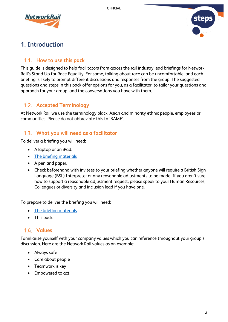



## <span id="page-2-0"></span>**1. Introduction**

## <span id="page-2-1"></span>**How to use this pack**

This guide is designed to help facilitators from across the rail industry lead briefings for Network Rail's Stand Up for Race Equality. For some, talking about race can be uncomfortable, and each briefing is likely to prompt different discussions and responses from the group. The suggested questions and steps in this pack offer options for you, as a facilitator, to tailor your questions and approach for your group, and the conversations you have with them.

## <span id="page-2-2"></span>**Accepted Terminology**

At Network Rail we use the terminology black, Asian and minority ethnic people, employees or communities. Please do not abbreviate this to 'BAME'.

### <span id="page-2-3"></span>**What you will need as a facilitator**

To deliver a briefing you will need:

- A laptop or an iPad.
- [The briefing materials](https://safety.networkrail.co.uk/wp-content/uploads/2019/09/Stand-Up-for-Race-Equality-Briefing-Materials.zip)
- A pen and paper.
- Check beforehand with invitees to your briefing whether anyone will require a British Sign Language (BSL) Interpreter or any reasonable adjustments to be made. If you aren't sure how to support a reasonable adjustment request, please speak to your Human Resources, Colleagues or diversity and inclusion lead if you have one.

To prepare to deliver the briefing you will need:

- [The briefing materials](https://safety.networkrail.co.uk/wp-content/uploads/2019/09/Stand-Up-for-Race-Equality-Briefing-Materials.zip)
- This pack.

## <span id="page-2-4"></span>1.4. Values

Familiarise yourself with your company values which you can reference throughout your group's discussion. Here are the Network Rail values as an example:

- Always safe
- Care about people
- Teamwork is key
- Empowered to act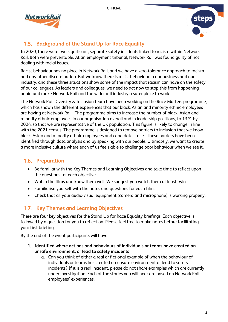



## <span id="page-3-0"></span>**Background of the Stand Up for Race Equality**

In 2020, there were two significant, separate safety incidents linked to racism within Network Rail. Both were preventable. At an employment tribunal, Network Rail was found guilty of not dealing with racial issues.

Racist behaviour has no place in Network Rail, and we have a zero-tolerance approach to racism and any other discrimination. But we know there is racist behaviour in our business and our industry, and these three situations show some of the impact that racism can have on the safety of our colleagues. As leaders and colleagues, we need to act now to stop this from happening again and make Network Rail and the wider rail industry a safer place to work.

The Network Rail Diversity & Inclusion team have been working on the Race Matters programme, which has shown the different experiences that our black, Asian and minority ethnic employees are having at Network Rail. The programme aims to increase the number of black, Asian and minority ethnic employees in our organisation overall and in leadership positions, to 13% by 2024, so that we are representative of the UK population. This figure is likely to change in line with the 2021 census. The programme is designed to remove barriers to inclusion that we know black, Asian and minority ethnic employees and candidates face. These barriers have been identified through data analysis and by speaking with our people. Ultimately, we want to create a more inclusive culture where each of us feels able to challenge poor behaviour when we see it.

## <span id="page-3-1"></span>**Preparation**

- Be familiar with the Key Themes and Learning Objectives and take time to reflect upon the questions for each objective.
- Watch the films and know them well. We suggest you watch them at least twice.
- Familiarise yourself with the notes and questions for each film.
- Check that all your audio-visual equipment (camera and microphone) is working properly.

## <span id="page-3-2"></span>**1.7. Key Themes and Learning Objectives**

There are four key objectives for the Stand Up for Race Equality briefings. Each objective is followed by a question for you to reflect on. Please feel free to make notes before facilitating your first briefing.

By the end of the event participants will have:

- **1. Identified where actions and behaviours of individuals or teams have created an unsafe environment, or lead to safety incidents**
	- a. Can you think of either a real or fictional example of when the behaviour of individuals or teams has created an unsafe environment or lead to safety incidents? If it is a real incident, please do not share examples which are currently under investigation. Each of the stories you will hear are based on Network Rail employees' experiences.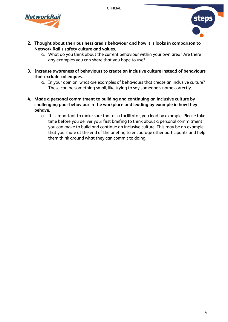



- **2. Thought about their business area's behaviour and how it is looks in comparison to Network Rail's safety culture and values.**
	- a. What do you think about the current behaviour within your own area? Are there any examples you can share that you hope to use?
- **3. Increase awareness of behaviours to create an inclusive culture instead of behaviours that exclude colleagues.**
	- a. In your opinion, what are examples of behaviours that create an inclusive culture? These can be something small, like trying to say someone's name correctly.
- **4. Made a personal commitment to building and continuing an inclusive culture by challenging poor behaviour in the workplace and leading by example in how they behave.**
	- a. It is important to make sure that as a facilitator, you lead by example. Please take time before you deliver your first briefing to think about a personal commitment you can make to build and continue an inclusive culture. This may be an example that you share at the end of the briefing to encourage other participants and help them think around what they can commit to doing.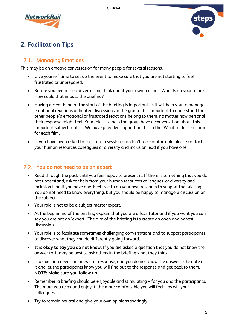



## <span id="page-5-0"></span>**2. Facilitation Tips**

## <span id="page-5-1"></span>**2.1. Managing Emotions**

This may be an emotive conversation for many people for several reasons.

- Give yourself time to set up the event to make sure that you are not starting to feel frustrated or unprepared.
- Before you begin the conversation, think about your own feelings. What is on your mind? How could that impact the briefing?
- Having a clear head at the start of the briefing is important as it will help you to manage emotional reactions or heated discussions in the group. It is important to understand that other people's emotional or frustrated reactions belong to them, no matter how personal their response might feel! Your role is to help the group have a conversation about this important subject matter. We have provided support on this in the 'What to do if' section for each film.
- If you have been asked to facilitate a session and don't feel comfortable please contact your human resources colleagues or diversity and inclusion lead if you have one.

### <span id="page-5-2"></span>**You do not need to be an expert**

- Read through the pack until you feel happy to present it. If there is something that you do not understand, ask for help from your human resources colleagues, or diversity and inclusion lead if you have one. Feel free to do your own research to support the briefing. You do not need to know everything, but you should be happy to manage a discussion on the subject.
- Your role is not to be a subject matter expert.
- At the beginning of the briefing explain that you are a facilitator and if you want you can say you are not an 'expert'. The aim of the briefing is to create an open and honest discussion.
- Your role is to facilitate sometimes challenging conversations and to support participants to discover what they can do differently going forward.
- **It is okay to say you do not know.** If you are asked a question that you do not know the answer to, it may be best to ask others in the briefing what they think.
- If a question needs an answer or response, and you do not know the answer, take note of it and let the participants know you will find out to the response and get back to them. **NOTE: Make sure you follow up.**
- Remember, a briefing should be enjoyable and stimulating for you and the participants. The more you relax and enjoy it, the more comfortable you will feel – as will your colleagues.
- Try to remain neutral and give your own opinions sparingly.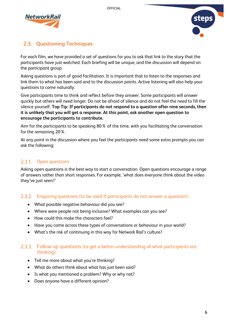



## <span id="page-6-0"></span>**Questioning Techniques**

For each film, we have provided a set of questions for you to ask that link to the story that the participants have just watched. Each briefing will be unique, and the discussion will depend on the participant group.

Asking questions is part of good facilitation. It is important that to listen to the responses and link them to what has been said and to the discussion points. Active listening will also help your questions to come naturally.

Give participants time to think and reflect before they answer. Some participants will answer quickly but others will need longer. Do not be afraid of silence and do not feel the need to fill the silence yourself. **Top Tip: If participants do not respond to a question after nine seconds, then it is unlikely that you will get a response. At this point, ask another open question to encourage the participants to contribute.**

Aim for the participants to be speaking 80% of the time, with you facilitating the conversation for the remaining 20%.

At any point in the discussion where you feel the participants need some extra prompts you can ask the following:

### 2.3.1. Open questions

Asking open questions is the best way to start a conversation. Open questions encourage a range of answers rather than short responses. For example, 'what does everyone think about the video they've just seen?'

### Enquiring questions (to be used if participants do not answer a question):

- What possible negative behaviour did you see?
- Where were people not being inclusive? What examples can you see?
- How could this make the characters feel?
- Have you come across these types of conversations or behaviour in your world?
- What's the risk of continuing in this way for Network Rail's culture?

#### 2.3.3. Follow up questions (to get a better understanding of what participants are thinking):

- Tell me more about what you're thinking?
- What do others think about what has just been said?
- Is what you mentioned a problem? Why or why not?
- Does anyone have a different opinion?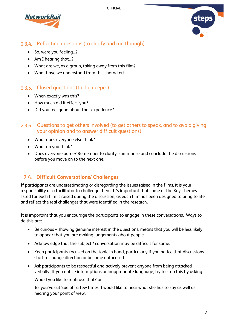



## 2.3.4. Reflecting questions (to clarify and run through):

- So, were you feeling...?
- Am I hearing that...?
- What are we, as a group, taking away from this film?
- What have we understood from this character?

## 2.3.5. Closed questions (to dig deeper):

- When exactly was this?
- How much did it effect you?
- Did you feel good about that experience?

#### 2.3.6. Questions to get others involved (to get others to speak, and to avoid giving your opinion and to answer difficult questions):

- What does everyone else think?
- What do you think?
- Does everyone agree? Remember to clarify, summarise and conclude the discussions before you move on to the next one.

## <span id="page-7-0"></span>**Difficult Conversations/ Challenges**

If participants are underestimating or disregarding the issues raised in the films, it is your responsibility as a facilitator to challenge them. It's important that some of the Key Themes listed for each film is raised during the discussion, as each film has been designed to bring to life and reflect the real challenges that were identified in the research.

It is important that you encourage the participants to engage in these conversations. Ways to do this are:

- Be curious showing genuine interest in the questions, means that you will be less likely to appear that you are making judgements about people.
- Acknowledge that the subject / conversation may be difficult for some.
- Keep participants focused on the topic in hand, particularly if you notice that discussions start to change direction or become unfocused.
- Ask participants to be respectful and actively prevent anyone from being attacked verbally. If you notice interruptions or inappropriate language, try to stop this by asking:

Would you like to rephrase that? or

Jo, you've cut Sue off a few times. I would like to hear what she has to say as well as hearing your point of view.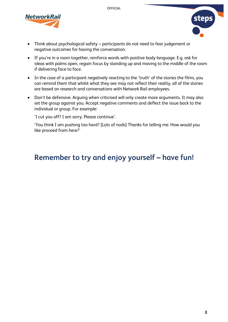



- Think about psychological safety participants do not need to fear judgement or negative outcomes for having the conversation.
- If you're in a room together, reinforce words with positive body language. E.g. ask for ideas with palms open, regain focus by standing up and moving to the middle of the room if delivering face to face.
- In the case of a participant negatively reacting to the 'truth' of the stories the films, you can remind them that whilst what they see may not reflect their reality, all of the stories are based on research and conversations with Network Rail employees.
- Don't be defensive. Arguing when criticised will only create more arguments. It may also set the group against you. Accept negative comments and deflect the issue back to the individual or group. For example:

'I cut you off? I am sorry. Please continue'.

'You think I am pushing too hard? [Lots of nods] Thanks for telling me. How would you like proceed from here?'

## Remember to try and enjoy yourself - have fun!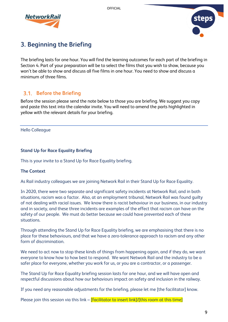



## <span id="page-9-0"></span>**3. Beginning the Briefing**

The briefing lasts for one hour. You will find the learning outcomes for each part of the briefing in Section 4. Part of your preparation will be to select the films that you wish to show, because you won't be able to show and discuss all five films in one hour. You need to show and discuss a minimum of three films.

## <span id="page-9-1"></span>**Before the Briefing**

Before the session please send the note below to those you are briefing. We suggest you copy and paste this text into the calendar invite. You will need to amend the parts highlighted in yellow with the relevant details for your briefing.

#### Hello Colleague

#### **Stand Up for Race Equality Briefing**

This is your invite to a Stand Up for Race Equality briefing.

#### **The Context**

As Rail industry colleagues we are joining Network Rail in their Stand Up for Race Equality.

In 2020, there were two separate and significant safety incidents at Network Rail, and in both situations, racism was a factor. Also, at an employment tribunal, Network Rail was found guilty of not dealing with racial issues. We know there is racist behaviour in our business, in our industry and in society, and these three incidents are examples of the effect that racism can have on the safety of our people. We must do better because we could have prevented each of these situations.

Through attending the Stand Up for Race Equality briefing, we are emphasising that there is no place for these behaviours, and that we have a zero-tolerance approach to racism and any other form of discrimination.

We need to act now to stop these kinds of things from happening again, and if they do, we want everyone to know how to how best to respond. We want Network Rail and the industry to be a safer place for everyone, whether you work for us, or you are a contractor, or a passenger.

The Stand Up for Race Equality briefing session lasts for one hour, and we will have open and respectful discussions about how our behaviours impact on safety and inclusion in the railway.

If you need any reasonable adjustments for the briefing, please let me [the facilitator] know.

Please join this session via this link – *[facilitator to insert link]/[this room at this time]*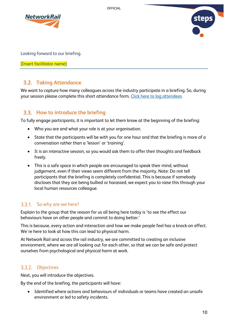



Looking forward to our briefing.

[Insert facilitator name]

## <span id="page-10-0"></span>**Taking Attendance**

We want to capture how many colleagues across the industry participate in a briefing. So, during your session please complete this short attendance form. [Click here to log attendees.](https://eur02.safelinks.protection.outlook.com/?url=https%3A%2F%2Fforms.office.com%2FPages%2FResponsePage.aspx%3Fid%3D4cMswn9dTU--A9WhWMyUCQWbVnh8tBFHisUW2BTGXm5UMVk1WVNTUjk5WVpFQUFCTk9RUlM0RzZHRi4u&data=04%7C01%7CLily.Kitchen%40networkrail.co.uk%7C14a35ddfc9c9472cf3fc08d9163bb97d%7Cc22cc3e15d7f4f4dbe03d5a158cc9409%7C0%7C0%7C637565268046489384%7CUnknown%7CTWFpbGZsb3d8eyJWIjoiMC4wLjAwMDAiLCJQIjoiV2luMzIiLCJBTiI6Ik1haWwiLCJXVCI6Mn0%3D%7C1000&sdata=8lKF2FdJbcTOYMJ8%2FsQBiEa%2Fk1y4276MBZyaZIG7NIw%3D&reserved=0)

## <span id="page-10-1"></span>**How to introduce the briefing**

To fully engage participants, it is important to let them know at the beginning of the briefing:

- Who you are and what your role is at your organisation.
- State that the participants will be with you for one hour and that the briefing is more of a conversation rather than a 'lesson' or 'training'.
- It is an interactive session, so you would ask them to offer their thoughts and feedback freely.
- This is a safe space in which people are encouraged to speak their mind, without judgement, even if their views seem different from the majority. Note: Do not tell participants that the briefing is completely confidential. This is because if somebody discloses that they are being bullied or harassed, we expect you to raise this through your local human resources colleague.

### 3.3.1. So why are we here?

Explain to the group that the reason for us all being here today is 'to see the effect our behaviours have on other people and commit to doing better.'

This is because, every action and interaction and how we make people feel has a knock-on effect. We're here to look at how this can lead to physical harm.

At Network Rail and across the rail industry, we are committed to creating an inclusive environment, where we are all looking out for each other, so that we can be safe and protect ourselves from psychological and physical harm at work.

#### 3.3.2. Objectives

Next, you will introduce the objectives.

By the end of the briefing, the participants will have:

• Identified where actions and behaviours of individuals or teams have created an unsafe environment or led to safety incidents.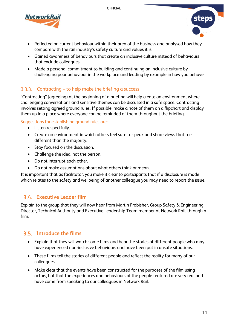



- Reflected on current behaviour within their area of the business and analysed how they compare with the rail industry's safety culture and values it is.
- Gained awareness of behaviours that create an inclusive culture instead of behaviours that exclude colleagues.
- Made a personal commitment to building and continuing an inclusive culture by challenging poor behaviour in the workplace and leading by example in how you behave.

### 3.3.3. Contracting – to help make the briefing a success

"Contracting" (agreeing) at the beginning of a briefing will help create an environment where challenging conversations and sensitive themes can be discussed in a safe space. Contracting involves setting agreed ground rules. If possible, make a note of them on a flipchart and display them up in a place where everyone can be reminded of them throughout the briefing.

#### Suggestions for establishing ground rules are:

- Listen respectfully.
- Create an environment in which others feel safe to speak and share views that feel different than the majority.
- Stay focused on the discussion.
- Challenge the idea, not the person.
- Do not interrupt each other.
- Do not make assumptions about what others think or mean.

It is important that as facilitator, you make it clear to participants that if a disclosure is made which relates to the safety and wellbeing of another colleague you may need to report the issue.

## <span id="page-11-0"></span>**Executive Leader film**

Explain to the group that they will now hear from Martin Frobisher, Group Safety & Engineering Director, Technical Authority and Executive Leadership Team member at Network Rail, through a film.

## <span id="page-11-1"></span>**Introduce the films**

- Explain that they will watch some films and hear the stories of different people who may have experienced non-inclusive behaviours and have been put in unsafe situations.
- These films tell the stories of different people and reflect the reality for many of our colleagues.
- Make clear that the events have been constructed for the purposes of the film using actors, but that the experiences and behaviours of the people featured are very real and have come from speaking to our colleagues in Network Rail.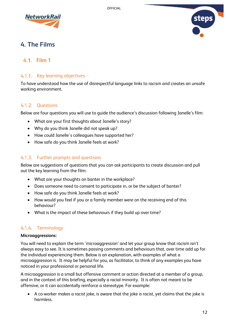



## <span id="page-12-0"></span>**4. The Films**

## <span id="page-12-1"></span>**Film 1**

#### 4.1.1. Key learning objectives

To have understood how the use of disrespectful language links to racism and creates an unsafe working environment.

#### 4.1.2. Ouestions

Below are four questions you will use to guide the audience's discussion following Janelle's film:

- What are your first thoughts about Janelle's story?
- Why do you think Janelle did not speak up?
- How could Janelle's colleagues have supported her?
- How safe do you think Janelle feels at work?

#### 4.1.3. Further prompts and questions

Below are suggestions of questions that you can ask participants to create discussion and pull out the key learning from the film:

- What are your thoughts on banter in the workplace?
- Does someone need to consent to participate in, or be the subject of banter?
- How safe do you think Janelle feels at work?
- How would you feel if you or a family member were on the receiving end of this behaviour?
- What is the impact of these behaviours if they build up over time?

#### 4.1.4. Terminology

#### **Microaggressions:**

You will need to explain the term 'microaggression' and let your group know that racism isn't always easy to see. It is sometimes passing comments and behaviours that, over time add up for the individual experiencing them. Below is an explanation, with examples of what a microaggression is. It may be helpful for you, as facilitator, to think of any examples you have noticed in your professional or personal life.

A microaggression is a small but offensive comment or action directed at a member of a group, and in the context of this briefing, especially a racial minority. It is often not meant to be offensive, or it can accidentally reinforce a stereotype. For example:

• A co-worker makes a racist joke, is aware that the joke is racist, yet claims that the joke is harmless.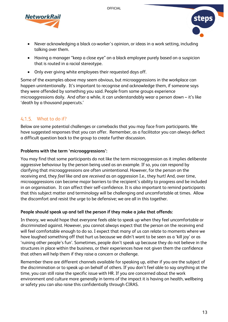



- Never acknowledging a black co-worker's opinion, or ideas in a work setting, including talking over them.
- Having a manager "keep a close eye" on a black employee purely based on a suspicion that is routed in a racial stereotype.
- Only ever giving white employees their requested days off.

Some of the examples above may seem obvious, but microaggressions in the workplace can happen unintentionally. It's important to recognise and acknowledge them, if someone says they were offended by something you said. People from some groups experience microaggressions daily. And after a while, it can understandably wear a person down – it's like 'death by a thousand papercuts.'

## What to do if?

Below are some potential challenges or comebacks that you may face from participants. We have suggested responses that you can offer. Remember, as a facilitator you can always deflect a difficult question back to the group to create further discussion.

#### **Problems with the term 'microaggressions':**

You may find that some participants do not like the term microaggression as it implies deliberate aggressive behaviour by the person being used as an example. If so, you can respond by clarifying that microaggressions are often unintentional. However, for the person on the receiving end, they *feel* like and are *received* as an aggression I.e., they hurt! And, over time, microaggressions can become major barriers to the recipient's ability to progress and be included in an organisation. It can affect their self-confidence. It is also important to remind participants that this subject matter and terminology will be challenging and uncomfortable at times. Allow the discomfort and resist the urge to be defensive; we are all in this together.

#### **People should speak up and tell the person if they make a joke that offends:**

In theory, we would hope that everyone feels able to speak up when they feel uncomfortable or discriminated against. However, you cannot always expect that the person on the receiving end will feel comfortable enough to do so. I expect that many of us can relate to moments where we have laughed something off that hurt us because we didn't want to be seen as a 'kill joy' or as 'ruining other people's fun'. Sometimes, people don't speak up because they do not believe in the structures in place within the business, or their experiences have not given them the confidence that others will help them if they raise a concern or challenge.

Remember there are different channels available for speaking up, either if you are the subject of the discrimination or to speak up on behalf of others. If you don't feel able to say anything at the time, you can still raise the specific issue with HR. If you are concerned about the work environment and culture more generally in terms of the impact it is having on health, wellbeing or safety you can also raise this confidentially through CIRAS.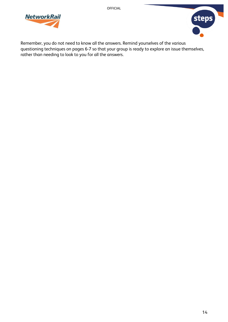



Remember, you do not need to know all the answers. Remind yourselves of the various questioning techniques on pages 6-7 so that your group is ready to explore an issue themselves, rather than needing to look to you for all the answers.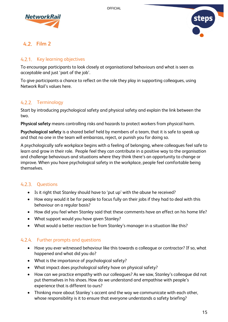



## <span id="page-15-0"></span>**Film 2**

#### 4.2.1. Key learning objectives

To encourage participants to look closely at organisational behaviours and what is seen as acceptable and just 'part of the job'.

To give participants a chance to reflect on the role they play in supporting colleagues, using Network Rail's values here.

## 4.2.2. Terminology

Start by introducing psychological safety and physical safety and explain the link between the two.

**Physical safety** means controlling risks and hazards to protect workers from physical harm.

**Psychological safety** is a shared belief held by members of a team, that it is safe to speak up and that no one in the team will embarrass, reject, or punish you for doing so.

A psychologically safe workplace begins with a feeling of belonging, where colleagues feel safe to learn and grow in their role. People feel they can contribute in a positive way to the organisation and challenge behaviours and situations where they think there's an opportunity to change or improve. When you have psychological safety in the workplace, people feel comfortable being themselves.

### 4.2.3. Ouestions

- Is it right that Stanley should have to 'put up' with the abuse he received?
- How easy would it be for people to focus fully on their jobs if they had to deal with this behaviour on a regular basis?
- How did you feel when Stanley said that these comments have an effect on his home life?
- What support would you have given Stanley?
- What would a better reaction be from Stanley's manager in a situation like this?

#### 4.2.4. Further prompts and questions

- Have you ever witnessed behaviour like this towards a colleague or contractor? If so, what happened and what did you do?
- What is the importance of psychological safety?
- What impact does psychological safety have on physical safety?
- How can we practice empathy with our colleagues? As we saw, Stanley's colleague did not put themselves in his shoes. How do we understand and empathise with people's experience that is different to ours?
- Thinking more about Stanley's accent and the way we communicate with each other, whose responsibility is it to ensure that everyone understands a safety briefing?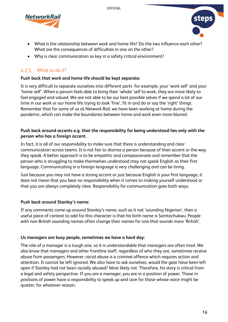



- What is the relationship between work and home life? Do the two influence each other? What are the consequences of difficulties in one on the other?
- Why is clear communication so key in a safety critical environment?

## What to do if?

#### **Push back that work and home life should be kept separate:**

It is very difficult to separate ourselves into different parts -for example, your 'work self' and your 'home self'. When a person feels able to bring their 'whole' self to work, they are more likely to feel engaged and valued. We are not able to be our best possible selves if we spend a lot of our time in our work or our home life trying to look 'fine', fit in and do or say the 'right' things. Remember that for some of us at Network Rail, we have been working at home during the pandemic, which can make the boundaries between home and work even more blurred.

#### **Push back around accents e.g. that the responsibility for being understood lies only with the person who has a foreign accent.**

In fact, it is all of our responsibility to make sure that there is understanding and clear communication across teams. It is not fair to dismiss a person because of their accent or the way they speak. A better approach is to be empathic and compassionate and remember that the person who is struggling to make themselves understood may not speak English as their first language. Communicating in a foreign language is very challenging and can be tiring.

Just because you may not have a strong accent or just because English is your first language, it does not mean that you bear no responsibility when it comes to making yourself understood or that you are always completely clear. Responsibility for communication goes both ways.

#### **Push back around Stanley's name:**

If any comments come up around Stanley's name, such as it not 'sounding Nigerian', then a useful piece of context to add for this character is that his birth name is Somtochukwu. People with non-British sounding names often change their names for one that sounds more 'British'.

#### **Us managers are busy people, sometimes we have a hard day:**

The role of a manager is a tough one, so it is understandable that managers are often tired. We also know that managers and other frontline staff, regardless of who they are, sometimes receive abuse from passengers. However, racial abuse is a criminal offence which requires action and attention. It cannot be left ignored. We also have to ask ourselves, would the gate have been left open if Stanley had not been racially abused? Most likely not. Therefore, his story is critical from a legal and safety perspective. If you are a manager, you are in a position of power. Those in positions of power have a responsibility to speak up and care for those whose voice might be quieter, for whatever reason.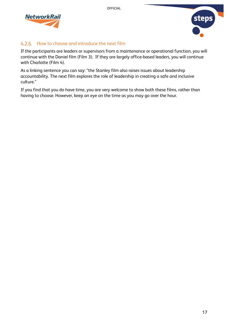



## 4.2.6. How to choose and introduce the next film

If the participants are leaders or supervisors from a maintenance or operational function, you will continue with the Daniel film (Film 3). If they are largely office-based leaders, you will continue with Charlotte (Film 4).

As a linking sentence you can say: "the Stanley film also raises issues about leadership accountability. The next film explores the role of leadership in creating a safe and inclusive culture."

If you find that you do have time, you are very welcome to show both these films, rather than having to choose. However, keep an eye on the time as you may go over the hour.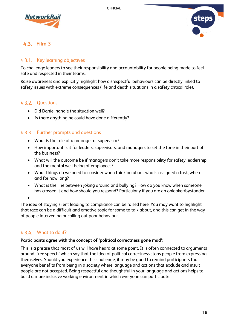



## <span id="page-18-0"></span>**Film 3**

#### 4.3.1. Key learning objectives

To challenge leaders to see their responsibility and accountability for people being made to feel safe and respected in their teams.

Raise awareness and explicitly highlight how disrespectful behaviours can be directly linked to safety issues with extreme consequences (life and death situations in a safety critical role).

#### 4.3.2. Ouestions

- Did Daniel handle the situation well?
- Is there anything he could have done differently?

#### 4.3.3. Further prompts and questions

- What is the role of a manager or supervisor?
- How important is it for leaders, supervisors, and managers to set the tone in their part of the business?
- What will the outcome be if managers don't take more responsibility for safety leadership and the mental well-being of employees?
- What things do we need to consider when thinking about who is assigned a task, when and for how long?
- What is the line between joking around and bullying? How do you know when someone has crossed it and how should you respond? Particularly if you are an onlooker/bystander.

•

The idea of staying silent leading to compliance can be raised here. You may want to highlight that race can be a difficult and emotive topic for some to talk about, and this can get in the way of people intervening or calling out poor behaviour.

#### What to do if?

#### **Participants agree with the concept of 'political correctness gone mad':**

This is a phrase that most of us will have heard at some point. It is often connected to arguments around 'free speech' which say that the idea of political correctness stops people from expressing themselves. Should you experience this challenge, it may be good to remind participants that everyone benefits from being in a society where language and actions that exclude and insult people are not accepted. Being respectful and thoughtful in your language and actions helps to build a more inclusive working environment in which everyone can participate.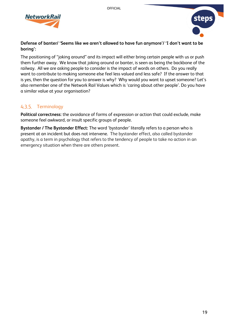



#### **Defense of banter/ 'Seems like we aren't allowed to have fun anymore'/ 'I don't want to be boring':**

The positioning of "joking around" and its impact will either bring certain people with us or push them further away. We know that joking around or banter, is seen as being the backbone of the railway. All we are asking people to consider is the impact of words on others. Do you really want to contribute to making someone else feel less valued and less safe? If the answer to that is yes, then the question for you to answer is why? Why would you want to upset someone? Let's also remember one of the Network Rail Values which is 'caring about other people'. Do you have a similar value at your organisation?

## 4.3.5. Terminology

**Political correctness:** the avoidance of forms of expression or action that could exclude, make someone feel awkward, or insult specific groups of people.

**Bystander / The Bystander Effect:** The word 'bystander' literally refers to a person who is present at an incident but does not intervene. The bystander effect, also called bystander apathy, is a term in psychology that refers to the tendency of people to take no action in an emergency situation when there are others present.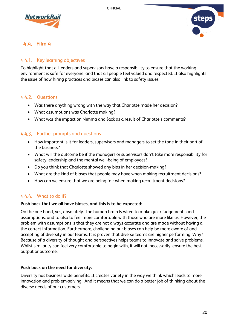



## <span id="page-20-0"></span>**Film 4**

### 4.4.1. Key learning objectives

To highlight that all leaders and supervisors have a responsibility to ensure that the working environment is safe for everyone, and that all people feel valued and respected. It also highlights the issue of how hiring practices and biases can also link to safety issues.

### 4.4.2. Questions

- Was there anything wrong with the way that Charlotte made her decision?
- What assumptions was Charlotte making?
- What was the impact on Nimma and Jack as a result of Charlotte's comments?

#### 4.4.3. Further prompts and questions

- How important is it for leaders, supervisors and managers to set the tone in their part of the business?
- What will the outcome be if the managers or supervisors don't take more responsibility for safety leadership and the mental well-being of employees?
- Do you think that Charlotte showed any bias in her decision-making?
- What are the kind of biases that people may have when making recruitment decisions?
- How can we ensure that we are being fair when making recruitment decisions?

### What to do if?

#### **Push back that we all have biases, and this is to be expected:**

On the one hand, yes, absolutely. The human brain is wired to make quick judgements and assumptions, and to also to feel more comfortable with those who are more like us. However, the problem with assumptions is that they are not always accurate and are made without having all the correct information. Furthermore, challenging our biases can help be more aware of and accepting of diversity in our teams. It is proven that diverse teams are higher performing. Why? Because of a diversity of thought and perspectives helps teams to innovate and solve problems. Whilst similarity can feel very comfortable to begin with, it will not, necessarily, ensure the best output or outcome.

#### **Push back on the need for diversity:**

Diversity has business wide benefits. It creates variety in the way we think which leads to more innovation and problem-solving. And it means that we can do a better job of thinking about the diverse needs of our customers.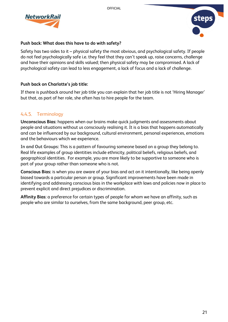



#### **Push back: What does this have to do with safety?**

Safety has two sides to it – physical safety the most obvious, and psychological safety. If people do not feel psychologically safe i.e. they feel that they can't speak up, raise concerns, challenge and have their opinions and skills valued; then physical safety may be compromised. A lack of psychological safety can lead to less engagement, a lack of focus and a lack of challenge.

#### **Push back on Charlotte's job title:**

If there is pushback around her job title you can explain that her job title is not 'Hiring Manager' but that, as part of her role, she often has to hire people for the team.

## 4.4.5. Terminology

**Unconscious Bias:** happens when our brains make quick judgments and assessments about people and situations without us consciously realising it. It is a bias that happens automatically and can be influenced by our background, cultural environment, personal experiences, emotions and the behaviours which we experience.

**In and Out Groups:** This is a pattern of favouring someone based on a group they belong to. Real life examples of group identities include ethnicity, political beliefs, religious beliefs, and geographical identities. For example, you are more likely to be supportive to someone who is part of your group rather than someone who is not.

**Conscious Bias:** is when you are aware of your bias and act on it intentionally, like being openly biased towards a particular person or group. Significant improvements have been made in identifying and addressing conscious bias in the workplace with laws and policies now in place to prevent explicit and direct prejudices or discrimination.

**Affinity Bias**: a preference for certain types of people for whom we have an affinity, such as people who are similar to ourselves, from the same background, peer group, etc.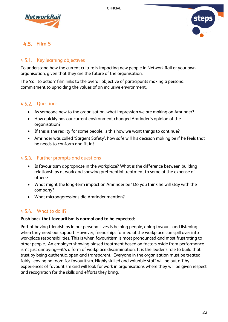



## <span id="page-22-0"></span>**Film 5**

#### 4.5.1. Key learning objectives

To understand how the current culture is impacting new people in Network Rail or your own organisation, given that they are the future of the organisation.

The 'call to action' film links to the overall objective of participants making a personal commitment to upholding the values of an inclusive environment.

#### 4.5.2. Questions

- As someone new to the organisation, what impression we are making on Amrinder?
- How quickly has our current environment changed Amrinder's opinion of the organisation?
- If this is the reality for some people, is this how we want things to continue?
- Amrinder was called 'Sargent Safety', how safe will his decision making be if he feels that he needs to conform and fit in?

#### 4.5.3. Further prompts and questions

- Is favouritism appropriate in the workplace? What is the difference between building relationships at work and showing preferential treatment to some at the expense of others?
- What might the long-term impact on Amrinder be? Do you think he will stay with the company?
- What microaggressions did Amrinder mention?

## What to do if?

#### **Push back that favouritism is normal and to be expected:**

Part of having friendships in our personal lives is helping people, doing favours, and listening when they need our support. However, friendships formed at the workplace can spill over into workplace responsibilities. This is when favouritism is most pronounced and most frustrating to other people. An employer showing biased treatment based on factors aside from performance isn't just annoying—it's a form of workplace discrimination. It is the leader's role to build that trust by being authentic, open and transparent. Everyone in the organisation must be treated fairly, leaving no room for favouritism. Highly skilled and valuable staff will be put off by experiences of favouritism and will look for work in organisations where they will be given respect and recognition for the skills and efforts they bring.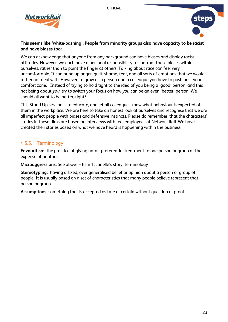



#### **This seems like 'white-bashing'. People from minority groups also have capacity to be racist and have biases too:**

We can acknowledge that anyone from any background can have biases and display racist attitudes. However, we each have a personal responsibility to confront these biases within ourselves, rather than to point the finger at others. Talking about race can feel very uncomfortable. It can bring up anger, guilt, shame, fear, and all sorts of emotions that we would rather not deal with. However, to grow as a person and a colleague you have to push past your comfort zone. Instead of trying to hold tight to the idea of you being a 'good' person, and this not being about *you*, try to switch your focus on how *you* can be an even 'better' person. We should all want to be better, right?

This Stand Up session is to educate, and let all colleagues know what behaviour is expected of them in the workplace. We are here to take an honest look at ourselves and recognise that we are all imperfect people with biases and defensive instincts. Please do remember, that the characters' stories in these films are based on interviews with real employees at Network Rail. We have created their stories based on what we have heard is happening within the business.

#### 4.5.5. Terminology

**Favouritism:** the practice of giving unfair preferential treatment to one person or group at the expense of another.

**Microaggressions:** See above – Film 1, Janelle's story: terminology

**Stereotyping:** having a fixed, over generalised belief or opinion about a person or group of people. It is usually based on a set of characteristics that many people believe represent that person or group.

**Assumptions:** something that is accepted as true or certain without question or proof.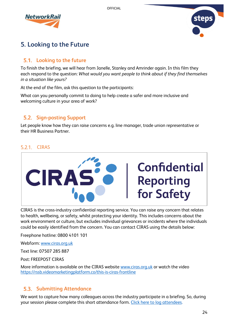



## <span id="page-24-0"></span>**5. Looking to the Future**

## <span id="page-24-1"></span>**Looking to the future**

To finish the briefing, we will hear from Janelle, Stanley and Amrinder again. In this film they each respond to the question: *What would you want people to think about if they find themselves in a situation like yours?*

At the end of the film, ask this question to the participants:

What can you personally commit to doing to help create a safer and more inclusive and welcoming culture in your area of work?

## <span id="page-24-2"></span>**Sign-posting Support**

Let people know how they can raise concerns e.g. line manager, trade union representative or their HR Business Partner.

#### 5.2.1. CIRAS



CIRAS is the cross-industry confidential reporting service. You can raise any concern that relates to health, wellbeing, or safety, whilst protecting your identity. This includes concerns about the work environment or culture, but excludes individual grievances or incidents where the individuals could be easily identified from the concern. You can contact CIRAS using the details below:

Freephone hotline: 0800 4101 101

Webform: [www.ciras.org.uk](http://www.ciras.org.uk/)

Text line: 07507 285 887

Post: FREEPOST CIRAS

More information is available on the CIRAS website [www.ciras.org.uk](http://www.ciras.org.uk/) or watch the video <https://rssb.videomarketingplatform.co/this-is-ciras-frontline>

## <span id="page-24-3"></span>**Submitting Attendance**

We want to capture how many colleagues across the industry participate in a briefing. So, during your session please complete this short attendance form. [Click here to log attendees.](https://forms.office.com/Pages/ResponsePage.aspx?id=4cMswn9dTU--A9WhWMyUCQWbVnh8tBFHisUW2BTGXm5UMVk1WVNTUjk5WVpFQUFCTk9RUlM0RzZHRi4u)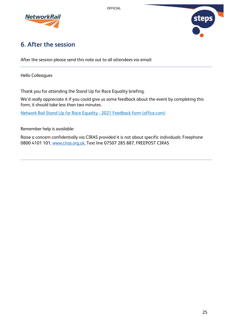





## <span id="page-25-0"></span>**6. After the session**

After the session please send this note out to all attendees via email:

Hello Colleagues

Thank you for attending the Stand Up for Race Equality briefing.

We'd really appreciate it if you could give us some feedback about the event by completing this form, it should take less than two minutes.

[Network Rail Stand Up for Race Equality -](https://forms.office.com/Pages/ResponsePage.aspx?id=4cMswn9dTU--A9WhWMyUCQWbVnh8tBFHisUW2BTGXm5UMzIyN0VFMENBMzZWQ0hPVEQ0VU1IUFcySS4u) 2021 Feedback form (office.com)

Remember help is available:

Raise a concern confidentially via CIRAS provided it is not about specific individuals: Freephone 0800 4101 101, [www.ciras.org.uk,](http://www.ciras.org.uk/) Text line 07507 285 887, FREEPOST CIRAS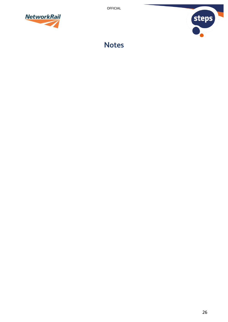



**Notes**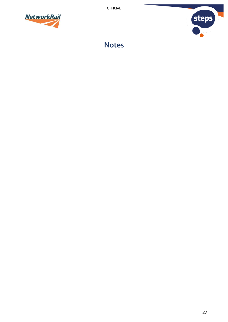



**Notes**